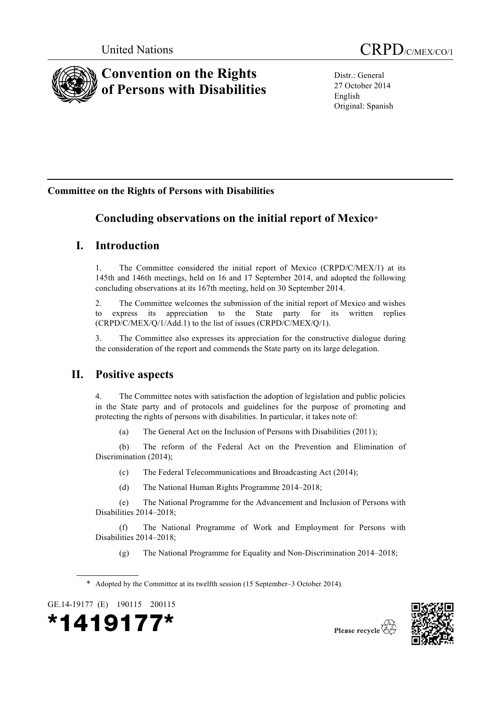

Distr.: General 27 October 2014 English Original: Spanish

# **Committee on the Rights of Persons with Disabilities**

# **Concluding observations on the initial report of Mexico**\*

# **I. Introduction**

1. The Committee considered the initial report of Mexico (CRPD/C/MEX/1) at its 145th and 146th meetings, held on 16 and 17 September 2014, and adopted the following concluding observations at its 167th meeting, held on 30 September 2014.

2. The Committee welcomes the submission of the initial report of Mexico and wishes to express its appreciation to the State party for its written replies (CRPD/C/MEX/Q/1/Add.1) to the list of issues (CRPD/C/MEX/Q/1).

3. The Committee also expresses its appreciation for the constructive dialogue during the consideration of the report and commends the State party on its large delegation.

# **II. Positive aspects**

4. The Committee notes with satisfaction the adoption of legislation and public policies in the State party and of protocols and guidelines for the purpose of promoting and protecting the rights of persons with disabilities. In particular, it takes note of:

(a) The General Act on the Inclusion of Persons with Disabilities (2011);

(b) The reform of the Federal Act on the Prevention and Elimination of Discrimination (2014);

(c) The Federal Telecommunications and Broadcasting Act (2014);

(d) The National Human Rights Programme 2014–2018;

(e) The National Programme for the Advancement and Inclusion of Persons with Disabilities 2014–2018;

(f) The National Programme of Work and Employment for Persons with Disabilities 2014–2018;

(g) The National Programme for Equality and Non-Discrimination 2014–2018;

\* Adopted by the Committee at its twelfth session (15 September‒3 October 2014).

GE.14-19177 (E) 190115 200115





Please recycle  $\overleftrightarrow{C}$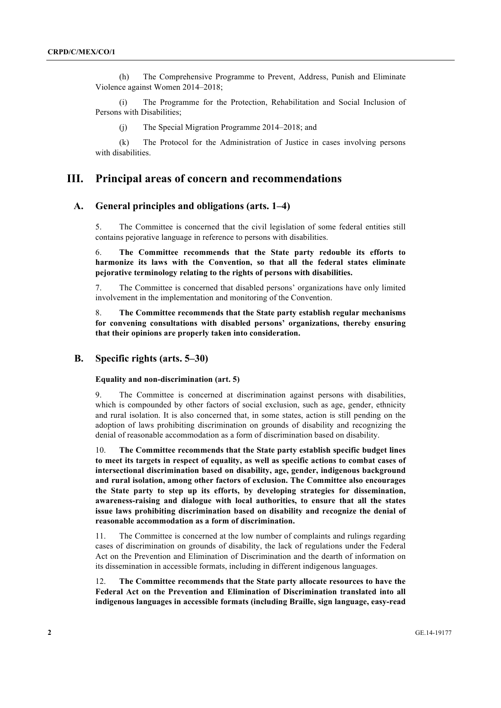(h) The Comprehensive Programme to Prevent, Address, Punish and Eliminate Violence against Women 2014–2018;

(i) The Programme for the Protection, Rehabilitation and Social Inclusion of Persons with Disabilities;

(j) The Special Migration Programme 2014–2018; and

(k) The Protocol for the Administration of Justice in cases involving persons with disabilities.

## **III. Principal areas of concern and recommendations**

## **A. General principles and obligations (arts. 1–4)**

5. The Committee is concerned that the civil legislation of some federal entities still contains pejorative language in reference to persons with disabilities.

6. **The Committee recommends that the State party redouble its efforts to harmonize its laws with the Convention, so that all the federal states eliminate pejorative terminology relating to the rights of persons with disabilities.**

7. The Committee is concerned that disabled persons' organizations have only limited involvement in the implementation and monitoring of the Convention.

8. **The Committee recommends that the State party establish regular mechanisms for convening consultations with disabled persons' organizations, thereby ensuring that their opinions are properly taken into consideration.**

## **B. Specific rights (arts. 5–30)**

## **Equality and non-discrimination (art. 5)**

9. The Committee is concerned at discrimination against persons with disabilities, which is compounded by other factors of social exclusion, such as age, gender, ethnicity and rural isolation. It is also concerned that, in some states, action is still pending on the adoption of laws prohibiting discrimination on grounds of disability and recognizing the denial of reasonable accommodation as a form of discrimination based on disability.

10. **The Committee recommends that the State party establish specific budget lines to meet its targets in respect of equality, as well as specific actions to combat cases of intersectional discrimination based on disability, age, gender, indigenous background and rural isolation, among other factors of exclusion. The Committee also encourages the State party to step up its efforts, by developing strategies for dissemination, awareness-raising and dialogue with local authorities, to ensure that all the states issue laws prohibiting discrimination based on disability and recognize the denial of reasonable accommodation as a form of discrimination.**

11. The Committee is concerned at the low number of complaints and rulings regarding cases of discrimination on grounds of disability, the lack of regulations under the Federal Act on the Prevention and Elimination of Discrimination and the dearth of information on its dissemination in accessible formats, including in different indigenous languages.

12. **The Committee recommends that the State party allocate resources to have the Federal Act on the Prevention and Elimination of Discrimination translated into all indigenous languages in accessible formats (including Braille, sign language, easy-read**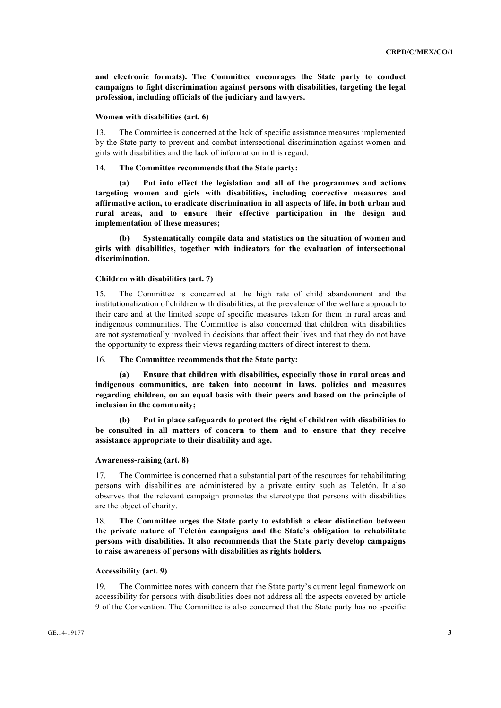**and electronic formats). The Committee encourages the State party to conduct campaigns to fight discrimination against persons with disabilities, targeting the legal profession, including officials of the judiciary and lawyers.**

#### **Women with disabilities (art. 6)**

13. The Committee is concerned at the lack of specific assistance measures implemented by the State party to prevent and combat intersectional discrimination against women and girls with disabilities and the lack of information in this regard.

## 14. **The Committee recommends that the State party:**

**(a) Put into effect the legislation and all of the programmes and actions targeting women and girls with disabilities, including corrective measures and affirmative action, to eradicate discrimination in all aspects of life, in both urban and rural areas, and to ensure their effective participation in the design and implementation of these measures;**

**(b) Systematically compile data and statistics on the situation of women and girls with disabilities, together with indicators for the evaluation of intersectional discrimination.**

## **Children with disabilities (art. 7)**

15. The Committee is concerned at the high rate of child abandonment and the institutionalization of children with disabilities, at the prevalence of the welfare approach to their care and at the limited scope of specific measures taken for them in rural areas and indigenous communities. The Committee is also concerned that children with disabilities are not systematically involved in decisions that affect their lives and that they do not have the opportunity to express their views regarding matters of direct interest to them.

## 16. **The Committee recommends that the State party:**

**(a) Ensure that children with disabilities, especially those in rural areas and indigenous communities, are taken into account in laws, policies and measures regarding children, on an equal basis with their peers and based on the principle of inclusion in the community;**

**(b) Put in place safeguards to protect the right of children with disabilities to be consulted in all matters of concern to them and to ensure that they receive assistance appropriate to their disability and age.**

#### **Awareness-raising (art. 8)**

17. The Committee is concerned that a substantial part of the resources for rehabilitating persons with disabilities are administered by a private entity such as Teletón. It also observes that the relevant campaign promotes the stereotype that persons with disabilities are the object of charity.

18. **The Committee urges the State party to establish a clear distinction between the private nature of Teletón campaigns and the State's obligation to rehabilitate persons with disabilities. It also recommends that the State party develop campaigns to raise awareness of persons with disabilities as rights holders.**

## **Accessibility (art. 9)**

19. The Committee notes with concern that the State party's current legal framework on accessibility for persons with disabilities does not address all the aspects covered by article 9 of the Convention. The Committee is also concerned that the State party has no specific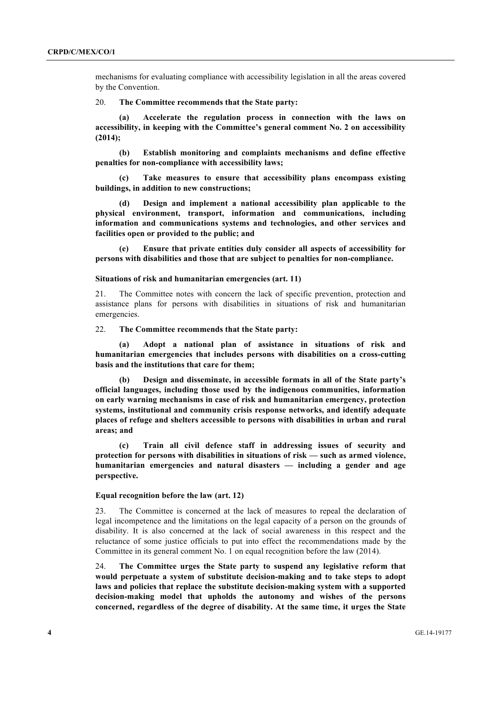mechanisms for evaluating compliance with accessibility legislation in all the areas covered by the Convention.

20. **The Committee recommends that the State party:**

**(a) Accelerate the regulation process in connection with the laws on accessibility, in keeping with the Committee's general comment No. 2 on accessibility (2014);**

**(b) Establish monitoring and complaints mechanisms and define effective penalties for non-compliance with accessibility laws;**

**(c) Take measures to ensure that accessibility plans encompass existing buildings, in addition to new constructions;**

**(d) Design and implement a national accessibility plan applicable to the physical environment, transport, information and communications, including information and communications systems and technologies, and other services and facilities open or provided to the public; and**

**(e) Ensure that private entities duly consider all aspects of accessibility for persons with disabilities and those that are subject to penalties for non-compliance.**

### **Situations of risk and humanitarian emergencies (art. 11)**

21. The Committee notes with concern the lack of specific prevention, protection and assistance plans for persons with disabilities in situations of risk and humanitarian emergencies.

22. **The Committee recommends that the State party:**

**(a) Adopt a national plan of assistance in situations of risk and humanitarian emergencies that includes persons with disabilities on a cross-cutting basis and the institutions that care for them;**

**(b) Design and disseminate, in accessible formats in all of the State party's official languages, including those used by the indigenous communities, information on early warning mechanisms in case of risk and humanitarian emergency, protection systems, institutional and community crisis response networks, and identify adequate places of refuge and shelters accessible to persons with disabilities in urban and rural areas; and** 

**(c) Train all civil defence staff in addressing issues of security and protection for persons with disabilities in situations of risk — such as armed violence, humanitarian emergencies and natural disasters — including a gender and age perspective.**

## **Equal recognition before the law (art. 12)**

23. The Committee is concerned at the lack of measures to repeal the declaration of legal incompetence and the limitations on the legal capacity of a person on the grounds of disability. It is also concerned at the lack of social awareness in this respect and the reluctance of some justice officials to put into effect the recommendations made by the Committee in its general comment No. 1 on equal recognition before the law (2014).

24. **The Committee urges the State party to suspend any legislative reform that would perpetuate a system of substitute decision-making and to take steps to adopt laws and policies that replace the substitute decision-making system with a supported decision-making model that upholds the autonomy and wishes of the persons concerned, regardless of the degree of disability. At the same time, it urges the State**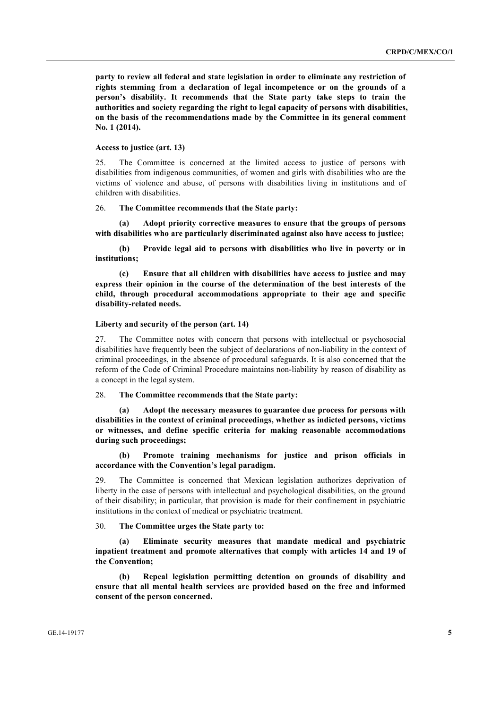**party to review all federal and state legislation in order to eliminate any restriction of rights stemming from a declaration of legal incompetence or on the grounds of a person's disability. It recommends that the State party take steps to train the authorities and society regarding the right to legal capacity of persons with disabilities, on the basis of the recommendations made by the Committee in its general comment No. 1 (2014).**

## **Access to justice (art. 13)**

25. The Committee is concerned at the limited access to justice of persons with disabilities from indigenous communities, of women and girls with disabilities who are the victims of violence and abuse, of persons with disabilities living in institutions and of children with disabilities.

## 26. **The Committee recommends that the State party:**

**(a) Adopt priority corrective measures to ensure that the groups of persons with disabilities who are particularly discriminated against also have access to justice;**

**(b) Provide legal aid to persons with disabilities who live in poverty or in institutions;**

**(c) Ensure that all children with disabilities have access to justice and may express their opinion in the course of the determination of the best interests of the child, through procedural accommodations appropriate to their age and specific disability-related needs.**

## **Liberty and security of the person (art. 14)**

27. The Committee notes with concern that persons with intellectual or psychosocial disabilities have frequently been the subject of declarations of non-liability in the context of criminal proceedings, in the absence of procedural safeguards. It is also concerned that the reform of the Code of Criminal Procedure maintains non-liability by reason of disability as a concept in the legal system.

## 28. **The Committee recommends that the State party:**

**(a) Adopt the necessary measures to guarantee due process for persons with disabilities in the context of criminal proceedings, whether as indicted persons, victims or witnesses, and define specific criteria for making reasonable accommodations during such proceedings;**

**(b) Promote training mechanisms for justice and prison officials in accordance with the Convention's legal paradigm.**

29. The Committee is concerned that Mexican legislation authorizes deprivation of liberty in the case of persons with intellectual and psychological disabilities, on the ground of their disability; in particular, that provision is made for their confinement in psychiatric institutions in the context of medical or psychiatric treatment.

## 30. **The Committee urges the State party to:**

**(a) Eliminate security measures that mandate medical and psychiatric inpatient treatment and promote alternatives that comply with articles 14 and 19 of the Convention;** 

**(b) Repeal legislation permitting detention on grounds of disability and ensure that all mental health services are provided based on the free and informed consent of the person concerned.**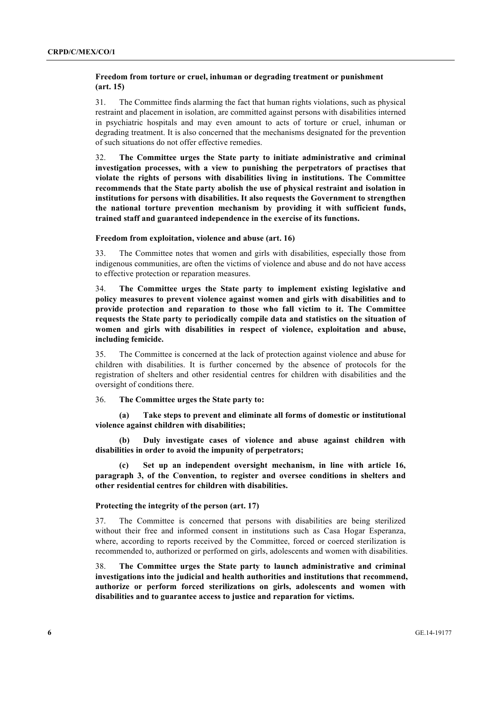## **Freedom from torture or cruel, inhuman or degrading treatment or punishment (art. 15)**

31. The Committee finds alarming the fact that human rights violations, such as physical restraint and placement in isolation, are committed against persons with disabilities interned in psychiatric hospitals and may even amount to acts of torture or cruel, inhuman or degrading treatment. It is also concerned that the mechanisms designated for the prevention of such situations do not offer effective remedies.

32. **The Committee urges the State party to initiate administrative and criminal investigation processes, with a view to punishing the perpetrators of practises that violate the rights of persons with disabilities living in institutions. The Committee recommends that the State party abolish the use of physical restraint and isolation in institutions for persons with disabilities. It also requests the Government to strengthen the national torture prevention mechanism by providing it with sufficient funds, trained staff and guaranteed independence in the exercise of its functions.**

#### **Freedom from exploitation, violence and abuse (art. 16)**

33. The Committee notes that women and girls with disabilities, especially those from indigenous communities, are often the victims of violence and abuse and do not have access to effective protection or reparation measures.

34. **The Committee urges the State party to implement existing legislative and policy measures to prevent violence against women and girls with disabilities and to provide protection and reparation to those who fall victim to it. The Committee requests the State party to periodically compile data and statistics on the situation of women and girls with disabilities in respect of violence, exploitation and abuse, including femicide.**

35. The Committee is concerned at the lack of protection against violence and abuse for children with disabilities. It is further concerned by the absence of protocols for the registration of shelters and other residential centres for children with disabilities and the oversight of conditions there.

## 36. **The Committee urges the State party to:**

**(a) Take steps to prevent and eliminate all forms of domestic or institutional violence against children with disabilities;**

**(b) Duly investigate cases of violence and abuse against children with disabilities in order to avoid the impunity of perpetrators;**

**(c) Set up an independent oversight mechanism, in line with article 16, paragraph 3, of the Convention, to register and oversee conditions in shelters and other residential centres for children with disabilities.**

## **Protecting the integrity of the person (art. 17)**

37. The Committee is concerned that persons with disabilities are being sterilized without their free and informed consent in institutions such as Casa Hogar Esperanza, where, according to reports received by the Committee, forced or coerced sterilization is recommended to, authorized or performed on girls, adolescents and women with disabilities.

38. **The Committee urges the State party to launch administrative and criminal investigations into the judicial and health authorities and institutions that recommend, authorize or perform forced sterilizations on girls, adolescents and women with disabilities and to guarantee access to justice and reparation for victims.**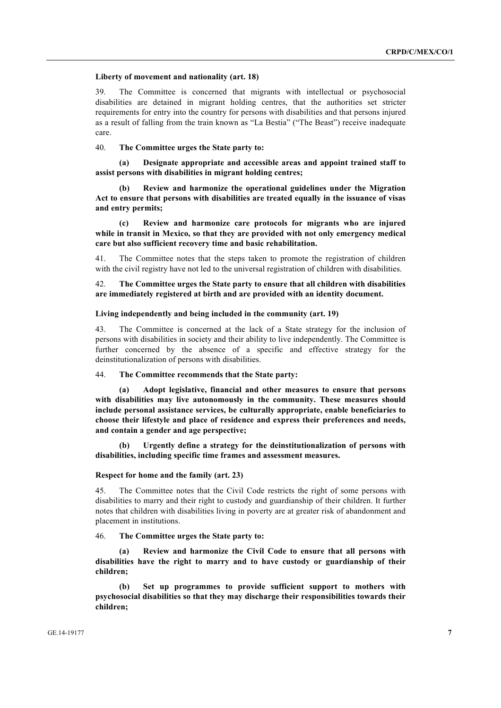#### **Liberty of movement and nationality (art. 18)**

39. The Committee is concerned that migrants with intellectual or psychosocial disabilities are detained in migrant holding centres, that the authorities set stricter requirements for entry into the country for persons with disabilities and that persons injured as a result of falling from the train known as "La Bestia" ("The Beast") receive inadequate care.

40. **The Committee urges the State party to:**

**(a) Designate appropriate and accessible areas and appoint trained staff to assist persons with disabilities in migrant holding centres;**

**(b) Review and harmonize the operational guidelines under the Migration Act to ensure that persons with disabilities are treated equally in the issuance of visas and entry permits;**

**(c) Review and harmonize care protocols for migrants who are injured while in transit in Mexico, so that they are provided with not only emergency medical care but also sufficient recovery time and basic rehabilitation.**

41. The Committee notes that the steps taken to promote the registration of children with the civil registry have not led to the universal registration of children with disabilities.

42. **The Committee urges the State party to ensure that all children with disabilities are immediately registered at birth and are provided with an identity document.**

#### **Living independently and being included in the community (art. 19)**

43. The Committee is concerned at the lack of a State strategy for the inclusion of persons with disabilities in society and their ability to live independently. The Committee is further concerned by the absence of a specific and effective strategy for the deinstitutionalization of persons with disabilities.

44. **The Committee recommends that the State party:** 

**(a) Adopt legislative, financial and other measures to ensure that persons with disabilities may live autonomously in the community. These measures should include personal assistance services, be culturally appropriate, enable beneficiaries to choose their lifestyle and place of residence and express their preferences and needs, and contain a gender and age perspective;**

**(b) Urgently define a strategy for the deinstitutionalization of persons with disabilities, including specific time frames and assessment measures.**

#### **Respect for home and the family (art. 23)**

45. The Committee notes that the Civil Code restricts the right of some persons with disabilities to marry and their right to custody and guardianship of their children. It further notes that children with disabilities living in poverty are at greater risk of abandonment and placement in institutions.

46. **The Committee urges the State party to:**

**(a) Review and harmonize the Civil Code to ensure that all persons with disabilities have the right to marry and to have custody or guardianship of their children;**

**(b) Set up programmes to provide sufficient support to mothers with psychosocial disabilities so that they may discharge their responsibilities towards their children;**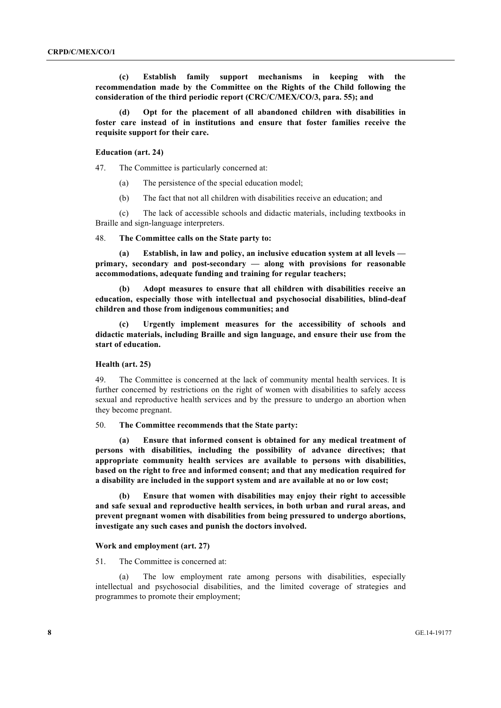**(c) Establish family support mechanisms in keeping with the recommendation made by the Committee on the Rights of the Child following the consideration of the third periodic report (CRC/C/MEX/CO/3, para. 55); and**

**(d) Opt for the placement of all abandoned children with disabilities in foster care instead of in institutions and ensure that foster families receive the requisite support for their care.**

#### **Education (art. 24)**

47. The Committee is particularly concerned at:

- (a) The persistence of the special education model;
- (b) The fact that not all children with disabilities receive an education; and

(c) The lack of accessible schools and didactic materials, including textbooks in Braille and sign-language interpreters.

48. **The Committee calls on the State party to:**

**(a) Establish, in law and policy, an inclusive education system at all levels primary, secondary and post-secondary — along with provisions for reasonable accommodations, adequate funding and training for regular teachers;**

**(b) Adopt measures to ensure that all children with disabilities receive an education, especially those with intellectual and psychosocial disabilities, blind-deaf children and those from indigenous communities; and**

**(c) Urgently implement measures for the accessibility of schools and didactic materials, including Braille and sign language, and ensure their use from the start of education.**

## **Health (art. 25)**

49. The Committee is concerned at the lack of community mental health services. It is further concerned by restrictions on the right of women with disabilities to safely access sexual and reproductive health services and by the pressure to undergo an abortion when they become pregnant.

50. **The Committee recommends that the State party:**

**(a) Ensure that informed consent is obtained for any medical treatment of persons with disabilities, including the possibility of advance directives; that appropriate community health services are available to persons with disabilities, based on the right to free and informed consent; and that any medication required for a disability are included in the support system and are available at no or low cost;**

**(b) Ensure that women with disabilities may enjoy their right to accessible and safe sexual and reproductive health services, in both urban and rural areas, and prevent pregnant women with disabilities from being pressured to undergo abortions, investigate any such cases and punish the doctors involved.**

#### **Work and employment (art. 27)**

51. The Committee is concerned at:

(a) The low employment rate among persons with disabilities, especially intellectual and psychosocial disabilities, and the limited coverage of strategies and programmes to promote their employment;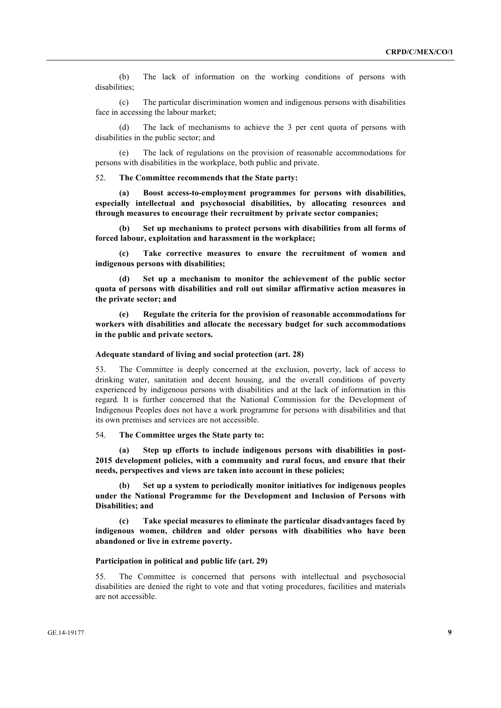(b) The lack of information on the working conditions of persons with disabilities;

(c) The particular discrimination women and indigenous persons with disabilities face in accessing the labour market;

(d) The lack of mechanisms to achieve the 3 per cent quota of persons with disabilities in the public sector; and

(e) The lack of regulations on the provision of reasonable accommodations for persons with disabilities in the workplace, both public and private.

52. **The Committee recommends that the State party:**

**(a) Boost access-to-employment programmes for persons with disabilities, especially intellectual and psychosocial disabilities, by allocating resources and through measures to encourage their recruitment by private sector companies;**

**(b) Set up mechanisms to protect persons with disabilities from all forms of forced labour, exploitation and harassment in the workplace;**

**(c) Take corrective measures to ensure the recruitment of women and indigenous persons with disabilities;**

**(d) Set up a mechanism to monitor the achievement of the public sector quota of persons with disabilities and roll out similar affirmative action measures in the private sector; and**

**(e) Regulate the criteria for the provision of reasonable accommodations for workers with disabilities and allocate the necessary budget for such accommodations in the public and private sectors.**

## **Adequate standard of living and social protection (art. 28)**

53. The Committee is deeply concerned at the exclusion, poverty, lack of access to drinking water, sanitation and decent housing, and the overall conditions of poverty experienced by indigenous persons with disabilities and at the lack of information in this regard. It is further concerned that the National Commission for the Development of Indigenous Peoples does not have a work programme for persons with disabilities and that its own premises and services are not accessible.

## 54. **The Committee urges the State party to:**

**(a) Step up efforts to include indigenous persons with disabilities in post-2015 development policies, with a community and rural focus, and ensure that their needs, perspectives and views are taken into account in these policies;**

**(b) Set up a system to periodically monitor initiatives for indigenous peoples under the National Programme for the Development and Inclusion of Persons with Disabilities; and**

**(c) Take special measures to eliminate the particular disadvantages faced by indigenous women, children and older persons with disabilities who have been abandoned or live in extreme poverty.**

#### **Participation in political and public life (art. 29)**

55. The Committee is concerned that persons with intellectual and psychosocial disabilities are denied the right to vote and that voting procedures, facilities and materials are not accessible.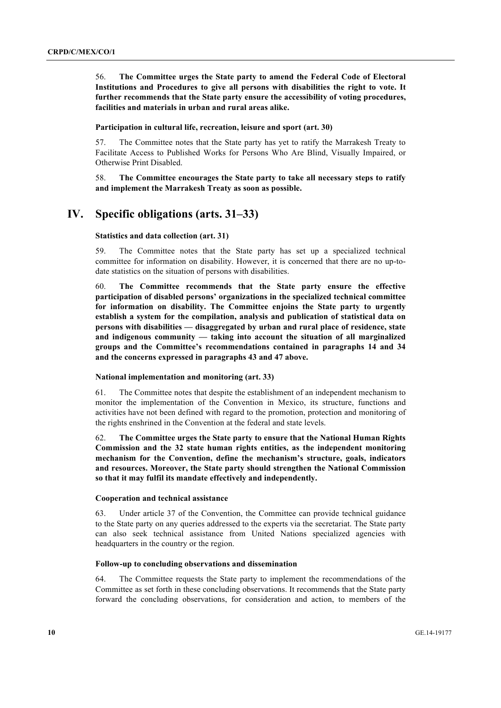56. **The Committee urges the State party to amend the Federal Code of Electoral Institutions and Procedures to give all persons with disabilities the right to vote. It further recommends that the State party ensure the accessibility of voting procedures, facilities and materials in urban and rural areas alike.**

**Participation in cultural life, recreation, leisure and sport (art. 30)**

57. The Committee notes that the State party has yet to ratify the Marrakesh Treaty to Facilitate Access to Published Works for Persons Who Are Blind, Visually Impaired, or Otherwise Print Disabled.

58. **The Committee encourages the State party to take all necessary steps to ratify and implement the Marrakesh Treaty as soon as possible.**

## **IV. Specific obligations (arts. 31–33)**

## **Statistics and data collection (art. 31)**

59. The Committee notes that the State party has set up a specialized technical committee for information on disability. However, it is concerned that there are no up-todate statistics on the situation of persons with disabilities.

60. **The Committee recommends that the State party ensure the effective participation of disabled persons' organizations in the specialized technical committee for information on disability. The Committee enjoins the State party to urgently establish a system for the compilation, analysis and publication of statistical data on persons with disabilities — disaggregated by urban and rural place of residence, state and indigenous community — taking into account the situation of all marginalized groups and the Committee's recommendations contained in paragraphs 14 and 34 and the concerns expressed in paragraphs 43 and 47 above.**

### **National implementation and monitoring (art. 33)**

61. The Committee notes that despite the establishment of an independent mechanism to monitor the implementation of the Convention in Mexico, its structure, functions and activities have not been defined with regard to the promotion, protection and monitoring of the rights enshrined in the Convention at the federal and state levels.

62. **The Committee urges the State party to ensure that the National Human Rights Commission and the 32 state human rights entities, as the independent monitoring mechanism for the Convention, define the mechanism's structure, goals, indicators and resources. Moreover, the State party should strengthen the National Commission so that it may fulfil its mandate effectively and independently.**

#### **Cooperation and technical assistance**

63. Under article 37 of the Convention, the Committee can provide technical guidance to the State party on any queries addressed to the experts via the secretariat. The State party can also seek technical assistance from United Nations specialized agencies with headquarters in the country or the region.

## **Follow-up to concluding observations and dissemination**

64. The Committee requests the State party to implement the recommendations of the Committee as set forth in these concluding observations. It recommends that the State party forward the concluding observations, for consideration and action, to members of the